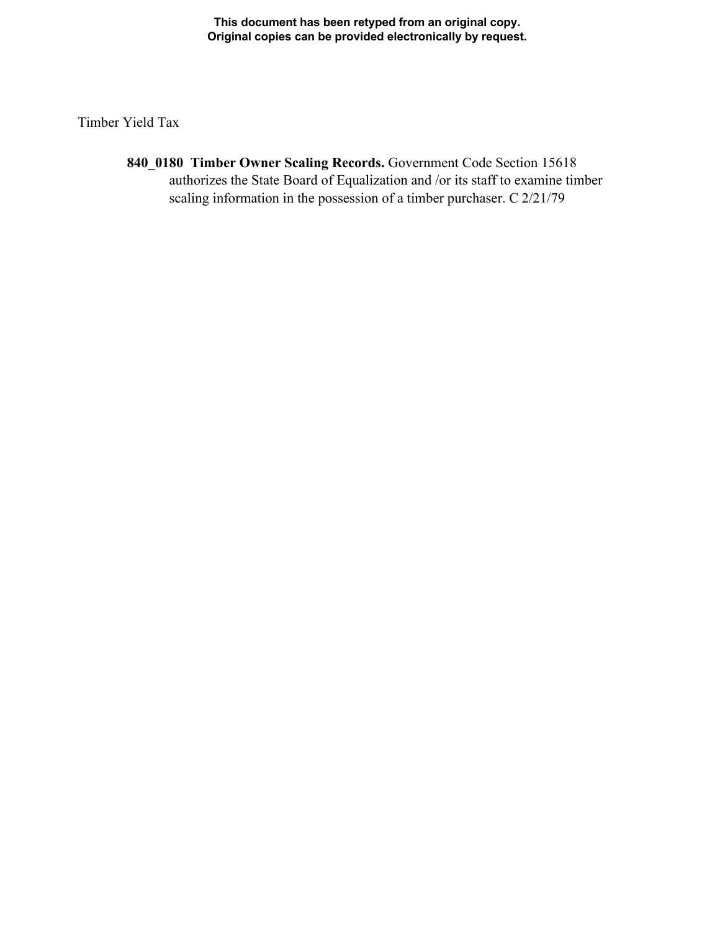**This document has been retyped from an original copy. Original copies can be provided electronically by request.** 

Timber Yield Tax

**840\_0180 Timber Owner Scaling Records.** Government Code Section 15618 authorizes the State Board of Equalization and /or its staff to examine timber scaling information in the possession of a timber purchaser. C 2/21/79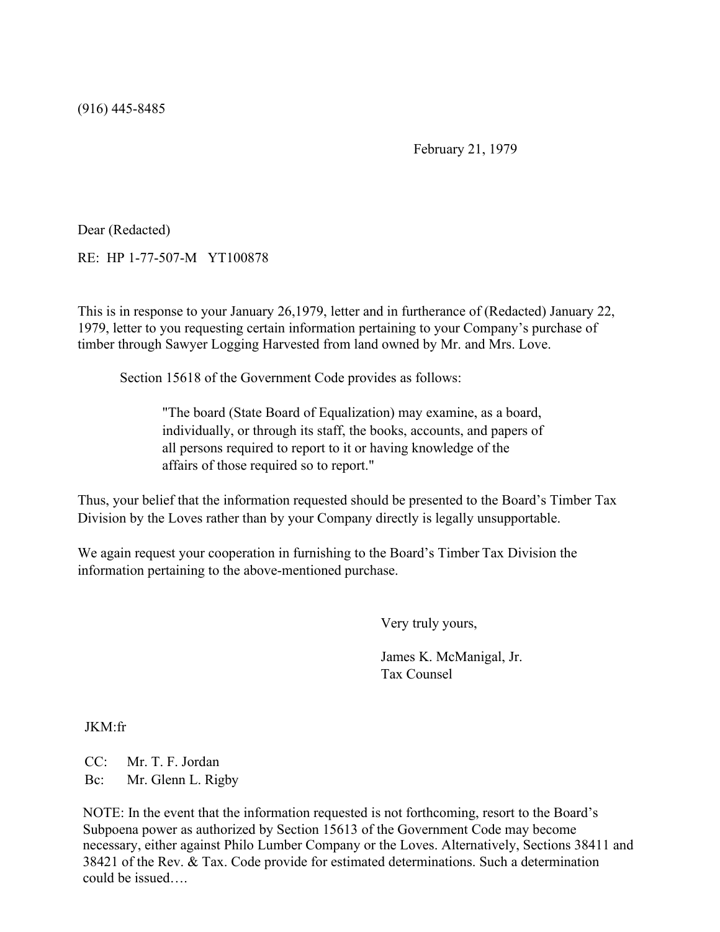(916) 445-8485

February 21, 1979

Dear (Redacted)

RE: HP 1-77-507-M YT100878

This is in response to your January 26,1979, letter and in furtherance of (Redacted) January 22, 1979, letter to you requesting certain information pertaining to your Company's purchase of timber through Sawyer Logging Harvested from land owned by Mr. and Mrs. Love.

Section 15618 of the Government Code provides as follows:

"The board (State Board of Equalization) may examine, as a board, individually, or through its staff, the books, accounts, and papers of all persons required to report to it or having knowledge of the affairs of those required so to report."

Thus, your belief that the information requested should be presented to the Board's Timber Tax Division by the Loves rather than by your Company directly is legally unsupportable.

We again request your cooperation in furnishing to the Board's Timber Tax Division the information pertaining to the above-mentioned purchase.

Very truly yours,

James K. McManigal, Jr. Tax Counsel

JKM:fr

CC: Mr. T. F. Jordan Bc: Mr. Glenn L. Rigby

NOTE: In the event that the information requested is not forthcoming, resort to the Board's Subpoena power as authorized by Section 15613 of the Government Code may become necessary, either against Philo Lumber Company or the Loves. Alternatively, Sections 38411 and 38421 of the Rev. & Tax. Code provide for estimated determinations. Such a determination could be issued….